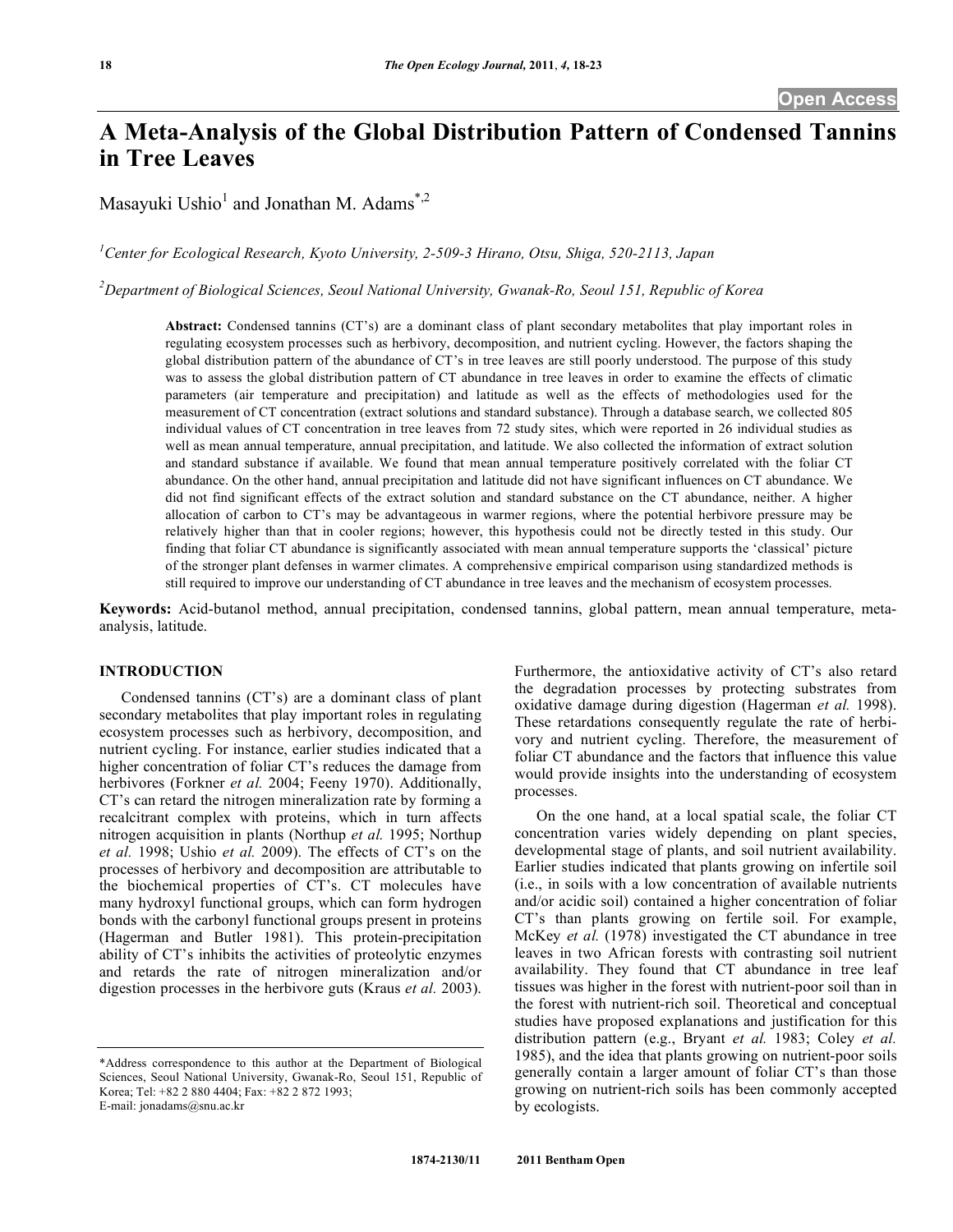# **A Meta-Analysis of the Global Distribution Pattern of Condensed Tannins in Tree Leaves**

Masayuki Ushio<sup>1</sup> and Jonathan M. Adams<sup>\*,2</sup>

*1 Center for Ecological Research, Kyoto University, 2-509-3 Hirano, Otsu, Shiga, 520-2113, Japan*

*2 Department of Biological Sciences, Seoul National University, Gwanak-Ro, Seoul 151, Republic of Korea*

**Abstract:** Condensed tannins (CT's) are a dominant class of plant secondary metabolites that play important roles in regulating ecosystem processes such as herbivory, decomposition, and nutrient cycling. However, the factors shaping the global distribution pattern of the abundance of CT's in tree leaves are still poorly understood. The purpose of this study was to assess the global distribution pattern of CT abundance in tree leaves in order to examine the effects of climatic parameters (air temperature and precipitation) and latitude as well as the effects of methodologies used for the measurement of CT concentration (extract solutions and standard substance). Through a database search, we collected 805 individual values of CT concentration in tree leaves from 72 study sites, which were reported in 26 individual studies as well as mean annual temperature, annual precipitation, and latitude. We also collected the information of extract solution and standard substance if available. We found that mean annual temperature positively correlated with the foliar CT abundance. On the other hand, annual precipitation and latitude did not have significant influences on CT abundance. We did not find significant effects of the extract solution and standard substance on the CT abundance, neither. A higher allocation of carbon to CT's may be advantageous in warmer regions, where the potential herbivore pressure may be relatively higher than that in cooler regions; however, this hypothesis could not be directly tested in this study. Our finding that foliar CT abundance is significantly associated with mean annual temperature supports the 'classical' picture of the stronger plant defenses in warmer climates. A comprehensive empirical comparison using standardized methods is still required to improve our understanding of CT abundance in tree leaves and the mechanism of ecosystem processes.

**Keywords:** Acid-butanol method, annual precipitation, condensed tannins, global pattern, mean annual temperature, metaanalysis, latitude.

## **INTRODUCTION**

Condensed tannins (CT's) are a dominant class of plant secondary metabolites that play important roles in regulating ecosystem processes such as herbivory, decomposition, and nutrient cycling. For instance, earlier studies indicated that a higher concentration of foliar CT's reduces the damage from herbivores (Forkner *et al.* 2004; Feeny 1970). Additionally, CT's can retard the nitrogen mineralization rate by forming a recalcitrant complex with proteins, which in turn affects nitrogen acquisition in plants (Northup *et al.* 1995; Northup *et al.* 1998; Ushio *et al.* 2009). The effects of CT's on the processes of herbivory and decomposition are attributable to the biochemical properties of CT's. CT molecules have many hydroxyl functional groups, which can form hydrogen bonds with the carbonyl functional groups present in proteins (Hagerman and Butler 1981). This protein-precipitation ability of CT's inhibits the activities of proteolytic enzymes and retards the rate of nitrogen mineralization and/or digestion processes in the herbivore guts (Kraus *et al.* 2003).

Furthermore, the antioxidative activity of CT's also retard the degradation processes by protecting substrates from oxidative damage during digestion (Hagerman *et al.* 1998). These retardations consequently regulate the rate of herbivory and nutrient cycling. Therefore, the measurement of foliar CT abundance and the factors that influence this value would provide insights into the understanding of ecosystem processes.

On the one hand, at a local spatial scale, the foliar CT concentration varies widely depending on plant species, developmental stage of plants, and soil nutrient availability. Earlier studies indicated that plants growing on infertile soil (i.e., in soils with a low concentration of available nutrients and/or acidic soil) contained a higher concentration of foliar CT's than plants growing on fertile soil. For example, McKey *et al.* (1978) investigated the CT abundance in tree leaves in two African forests with contrasting soil nutrient availability. They found that CT abundance in tree leaf tissues was higher in the forest with nutrient-poor soil than in the forest with nutrient-rich soil. Theoretical and conceptual studies have proposed explanations and justification for this distribution pattern (e.g., Bryant *et al.* 1983; Coley *et al.* 1985), and the idea that plants growing on nutrient-poor soils generally contain a larger amount of foliar CT's than those growing on nutrient-rich soils has been commonly accepted by ecologists.

<sup>\*</sup>Address correspondence to this author at the Department of Biological Sciences, Seoul National University, Gwanak-Ro, Seoul 151, Republic of Korea; Tel: +82 2 880 4404; Fax: +82 2 872 1993; E-mail: jonadams@snu.ac.kr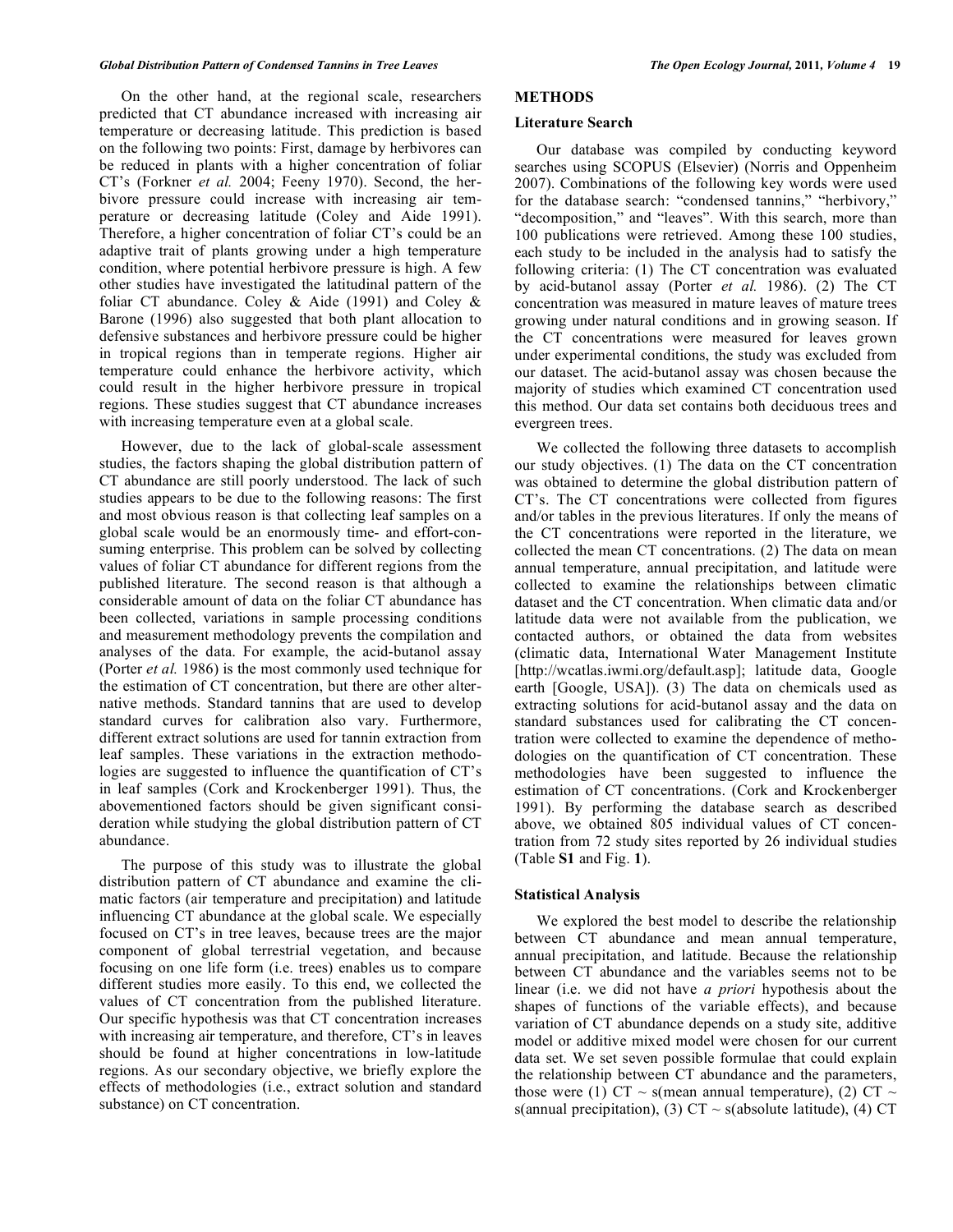On the other hand, at the regional scale, researchers predicted that CT abundance increased with increasing air temperature or decreasing latitude. This prediction is based on the following two points: First, damage by herbivores can be reduced in plants with a higher concentration of foliar CT's (Forkner *et al.* 2004; Feeny 1970). Second, the herbivore pressure could increase with increasing air temperature or decreasing latitude (Coley and Aide 1991). Therefore, a higher concentration of foliar CT's could be an adaptive trait of plants growing under a high temperature condition, where potential herbivore pressure is high. A few other studies have investigated the latitudinal pattern of the foliar CT abundance. Coley & Aide (1991) and Coley & Barone (1996) also suggested that both plant allocation to defensive substances and herbivore pressure could be higher in tropical regions than in temperate regions. Higher air temperature could enhance the herbivore activity, which could result in the higher herbivore pressure in tropical regions. These studies suggest that CT abundance increases with increasing temperature even at a global scale.

However, due to the lack of global-scale assessment studies, the factors shaping the global distribution pattern of CT abundance are still poorly understood. The lack of such studies appears to be due to the following reasons: The first and most obvious reason is that collecting leaf samples on a global scale would be an enormously time- and effort-consuming enterprise. This problem can be solved by collecting values of foliar CT abundance for different regions from the published literature. The second reason is that although a considerable amount of data on the foliar CT abundance has been collected, variations in sample processing conditions and measurement methodology prevents the compilation and analyses of the data. For example, the acid-butanol assay (Porter *et al.* 1986) is the most commonly used technique for the estimation of CT concentration, but there are other alternative methods. Standard tannins that are used to develop standard curves for calibration also vary. Furthermore, different extract solutions are used for tannin extraction from leaf samples. These variations in the extraction methodologies are suggested to influence the quantification of CT's in leaf samples (Cork and Krockenberger 1991). Thus, the abovementioned factors should be given significant consideration while studying the global distribution pattern of CT abundance.

The purpose of this study was to illustrate the global distribution pattern of CT abundance and examine the climatic factors (air temperature and precipitation) and latitude influencing CT abundance at the global scale. We especially focused on CT's in tree leaves, because trees are the major component of global terrestrial vegetation, and because focusing on one life form (i.e. trees) enables us to compare different studies more easily. To this end, we collected the values of CT concentration from the published literature. Our specific hypothesis was that CT concentration increases with increasing air temperature, and therefore, CT's in leaves should be found at higher concentrations in low-latitude regions. As our secondary objective, we briefly explore the effects of methodologies (i.e., extract solution and standard substance) on CT concentration.

## **METHODS**

#### **Literature Search**

Our database was compiled by conducting keyword searches using SCOPUS (Elsevier) (Norris and Oppenheim 2007). Combinations of the following key words were used for the database search: "condensed tannins," "herbivory," "decomposition," and "leaves". With this search, more than 100 publications were retrieved. Among these 100 studies, each study to be included in the analysis had to satisfy the following criteria: (1) The CT concentration was evaluated by acid-butanol assay (Porter *et al.* 1986). (2) The CT concentration was measured in mature leaves of mature trees growing under natural conditions and in growing season. If the CT concentrations were measured for leaves grown under experimental conditions, the study was excluded from our dataset. The acid-butanol assay was chosen because the majority of studies which examined CT concentration used this method. Our data set contains both deciduous trees and evergreen trees.

We collected the following three datasets to accomplish our study objectives. (1) The data on the CT concentration was obtained to determine the global distribution pattern of CT's. The CT concentrations were collected from figures and/or tables in the previous literatures. If only the means of the CT concentrations were reported in the literature, we collected the mean CT concentrations. (2) The data on mean annual temperature, annual precipitation, and latitude were collected to examine the relationships between climatic dataset and the CT concentration. When climatic data and/or latitude data were not available from the publication, we contacted authors, or obtained the data from websites (climatic data, International Water Management Institute [http://wcatlas.iwmi.org/default.asp]; latitude data, Google earth [Google, USA]). (3) The data on chemicals used as extracting solutions for acid-butanol assay and the data on standard substances used for calibrating the CT concentration were collected to examine the dependence of methodologies on the quantification of CT concentration. These methodologies have been suggested to influence the estimation of CT concentrations. (Cork and Krockenberger 1991). By performing the database search as described above, we obtained 805 individual values of CT concentration from 72 study sites reported by 26 individual studies (Table **S1** and Fig. **1**).

#### **Statistical Analysis**

We explored the best model to describe the relationship between CT abundance and mean annual temperature, annual precipitation, and latitude. Because the relationship between CT abundance and the variables seems not to be linear (i.e. we did not have *a priori* hypothesis about the shapes of functions of the variable effects), and because variation of CT abundance depends on a study site, additive model or additive mixed model were chosen for our current data set. We set seven possible formulae that could explain the relationship between CT abundance and the parameters, those were (1) CT  $\sim$  s(mean annual temperature), (2) CT  $\sim$ s(annual precipitation), (3)  $CT \sim s$ (absolute latitude), (4) CT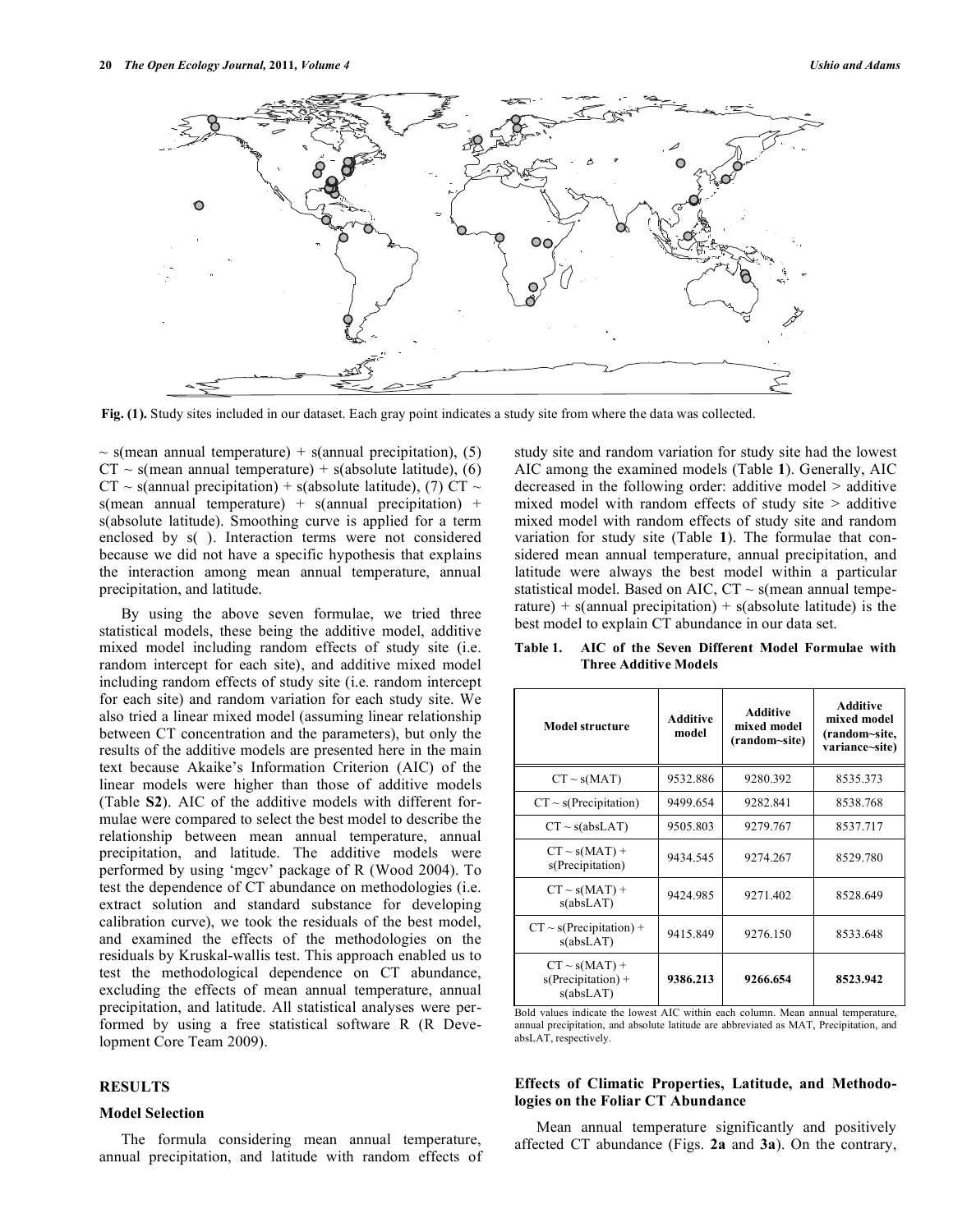

**Fig. (1).** Study sites included in our dataset. Each gray point indicates a study site from where the data was collected.

 $\sim$  s(mean annual temperature) + s(annual precipitation), (5)  $CT \sim s$ (mean annual temperature) + s(absolute latitude), (6)  $CT \sim$  s(annual precipitation) + s(absolute latitude), (7) CT  $\sim$  $s$ (mean annual temperature) +  $s$ (annual precipitation) + s(absolute latitude). Smoothing curve is applied for a term enclosed by s( ). Interaction terms were not considered because we did not have a specific hypothesis that explains the interaction among mean annual temperature, annual precipitation, and latitude.

By using the above seven formulae, we tried three statistical models, these being the additive model, additive mixed model including random effects of study site (i.e. random intercept for each site), and additive mixed model including random effects of study site (i.e. random intercept for each site) and random variation for each study site. We also tried a linear mixed model (assuming linear relationship between CT concentration and the parameters), but only the results of the additive models are presented here in the main text because Akaike's Information Criterion (AIC) of the linear models were higher than those of additive models (Table **S2**). AIC of the additive models with different formulae were compared to select the best model to describe the relationship between mean annual temperature, annual precipitation, and latitude. The additive models were performed by using 'mgcv' package of R (Wood 2004). To test the dependence of CT abundance on methodologies (i.e. extract solution and standard substance for developing calibration curve), we took the residuals of the best model, and examined the effects of the methodologies on the residuals by Kruskal-wallis test. This approach enabled us to test the methodological dependence on CT abundance, excluding the effects of mean annual temperature, annual precipitation, and latitude. All statistical analyses were performed by using a free statistical software R (R Development Core Team 2009).

#### **RESULTS**

## **Model Selection**

The formula considering mean annual temperature, annual precipitation, and latitude with random effects of study site and random variation for study site had the lowest AIC among the examined models (Table **1**). Generally, AIC decreased in the following order: additive model > additive mixed model with random effects of study site  $>$  additive mixed model with random effects of study site and random variation for study site (Table **1**). The formulae that considered mean annual temperature, annual precipitation, and latitude were always the best model within a particular statistical model. Based on AIC,  $CT \sim s$  (mean annual temperature) + s(annual precipitation) + s(absolute latitude) is the best model to explain CT abundance in our data set.

| Model structure                                         | <b>Additive</b><br>model | <b>Additive</b><br>mixed model<br>(random~site) | <b>Additive</b><br>mixed model<br>(random~site,<br>variance~site) |
|---------------------------------------------------------|--------------------------|-------------------------------------------------|-------------------------------------------------------------------|
| $CT \sim s(MAT)$                                        | 9532.886                 | 9280.392                                        | 8535.373                                                          |
| $CT \sim s(Precipitation)$                              | 9499.654                 | 9282.841                                        | 8538.768                                                          |
| $CT \sim s(absLAT)$                                     | 9505.803                 | 9279.767                                        | 8537.717                                                          |
| $CT \sim s(MAT) +$<br>s(Precipitation)                  | 9434.545                 | 9274.267                                        | 8529.780                                                          |
| $CT \sim s(MAT) +$<br>s(absLAT)                         | 9424.985                 | 9271.402                                        | 8528.649                                                          |
| $CT \sim s(Precipitation) +$<br>s(absLAT)               | 9415.849                 | 9276.150                                        | 8533.648                                                          |
| $CT \sim s(MAT) +$<br>$s(Precipitation) +$<br>s(absLAT) | 9386.213                 | 9266.654                                        | 8523.942                                                          |

**Table 1. AIC of the Seven Different Model Formulae with Three Additive Models**

Bold values indicate the lowest AIC within each column. Mean annual temperature, annual precipitation, and absolute latitude are abbreviated as MAT, Precipitation, and absLAT, respectively.

## **Effects of Climatic Properties, Latitude, and Methodologies on the Foliar CT Abundance**

Mean annual temperature significantly and positively affected CT abundance (Figs. **2a** and **3a**). On the contrary,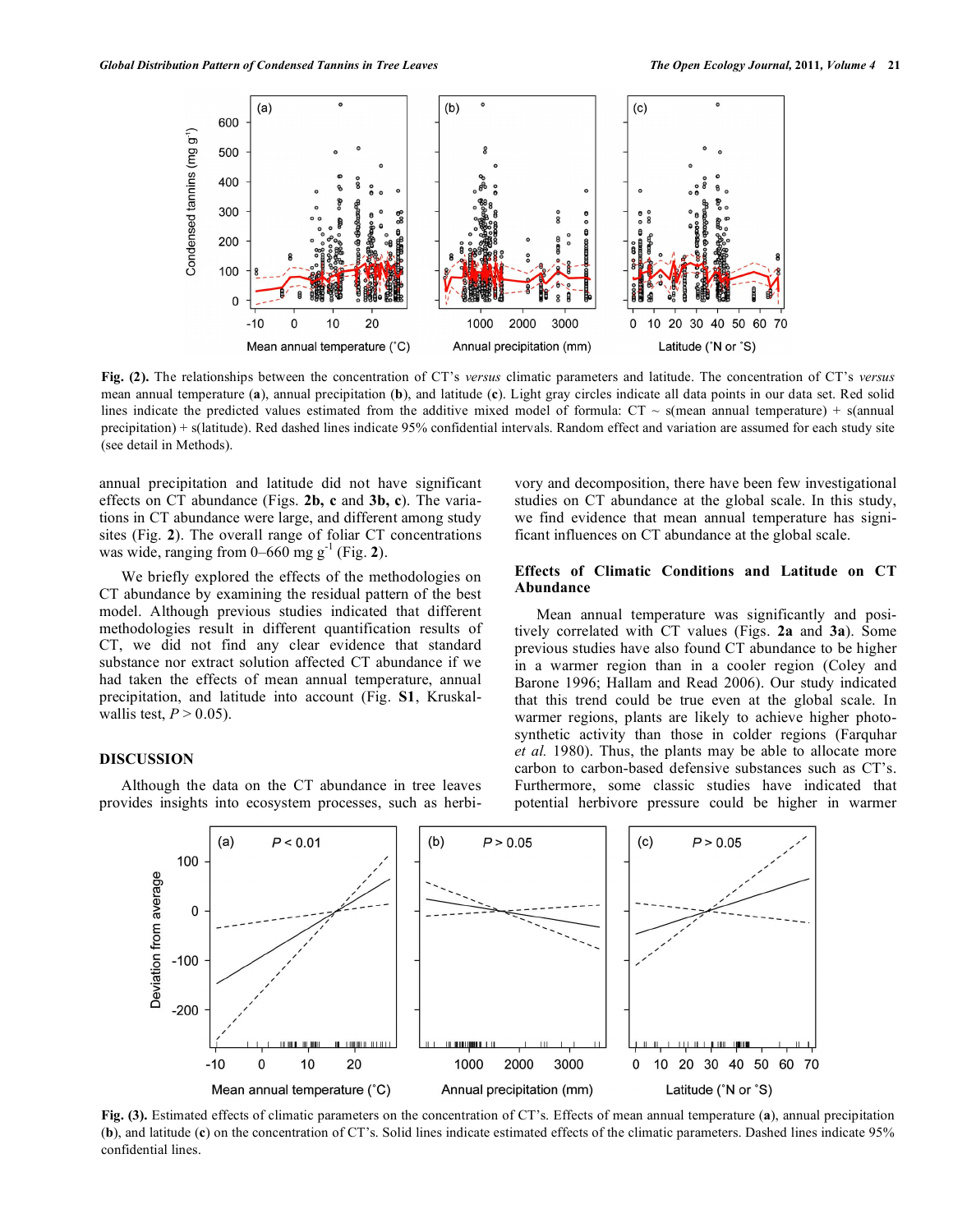

**Fig. (2).** The relationships between the concentration of CT's *versus* climatic parameters and latitude. The concentration of CT's *versus* mean annual temperature (**a**), annual precipitation (**b**), and latitude (**c**). Light gray circles indicate all data points in our data set. Red solid lines indicate the predicted values estimated from the additive mixed model of formula:  $CT \sim s$  (mean annual temperature) + s(annual precipitation) + s(latitude). Red dashed lines indicate 95% confidential intervals. Random effect and variation are assumed for each study site (see detail in Methods).

annual precipitation and latitude did not have significant effects on CT abundance (Figs. **2b, c** and **3b, c**). The variations in CT abundance were large, and different among study sites (Fig. **2**). The overall range of foliar CT concentrations was wide, ranging from  $0-660$  mg g<sup>-1</sup> (Fig. 2).

We briefly explored the effects of the methodologies on CT abundance by examining the residual pattern of the best model. Although previous studies indicated that different methodologies result in different quantification results of CT, we did not find any clear evidence that standard substance nor extract solution affected CT abundance if we had taken the effects of mean annual temperature, annual precipitation, and latitude into account (Fig. **S1**, Kruskalwallis test,  $P > 0.05$ ).

## **DISCUSSION**

Although the data on the CT abundance in tree leaves provides insights into ecosystem processes, such as herbivory and decomposition, there have been few investigational studies on CT abundance at the global scale. In this study, we find evidence that mean annual temperature has significant influences on CT abundance at the global scale.

## **Effects of Climatic Conditions and Latitude on CT Abundance**

Mean annual temperature was significantly and positively correlated with CT values (Figs. **2a** and **3a**). Some previous studies have also found CT abundance to be higher in a warmer region than in a cooler region (Coley and Barone 1996; Hallam and Read 2006). Our study indicated that this trend could be true even at the global scale. In warmer regions, plants are likely to achieve higher photosynthetic activity than those in colder regions (Farquhar *et al.* 1980). Thus, the plants may be able to allocate more carbon to carbon-based defensive substances such as CT's. Furthermore, some classic studies have indicated that potential herbivore pressure could be higher in warmer



**Fig. (3).** Estimated effects of climatic parameters on the concentration of CT's. Effects of mean annual temperature (**a**), annual precipitation (**b**), and latitude (**c**) on the concentration of CT's. Solid lines indicate estimated effects of the climatic parameters. Dashed lines indicate 95% confidential lines.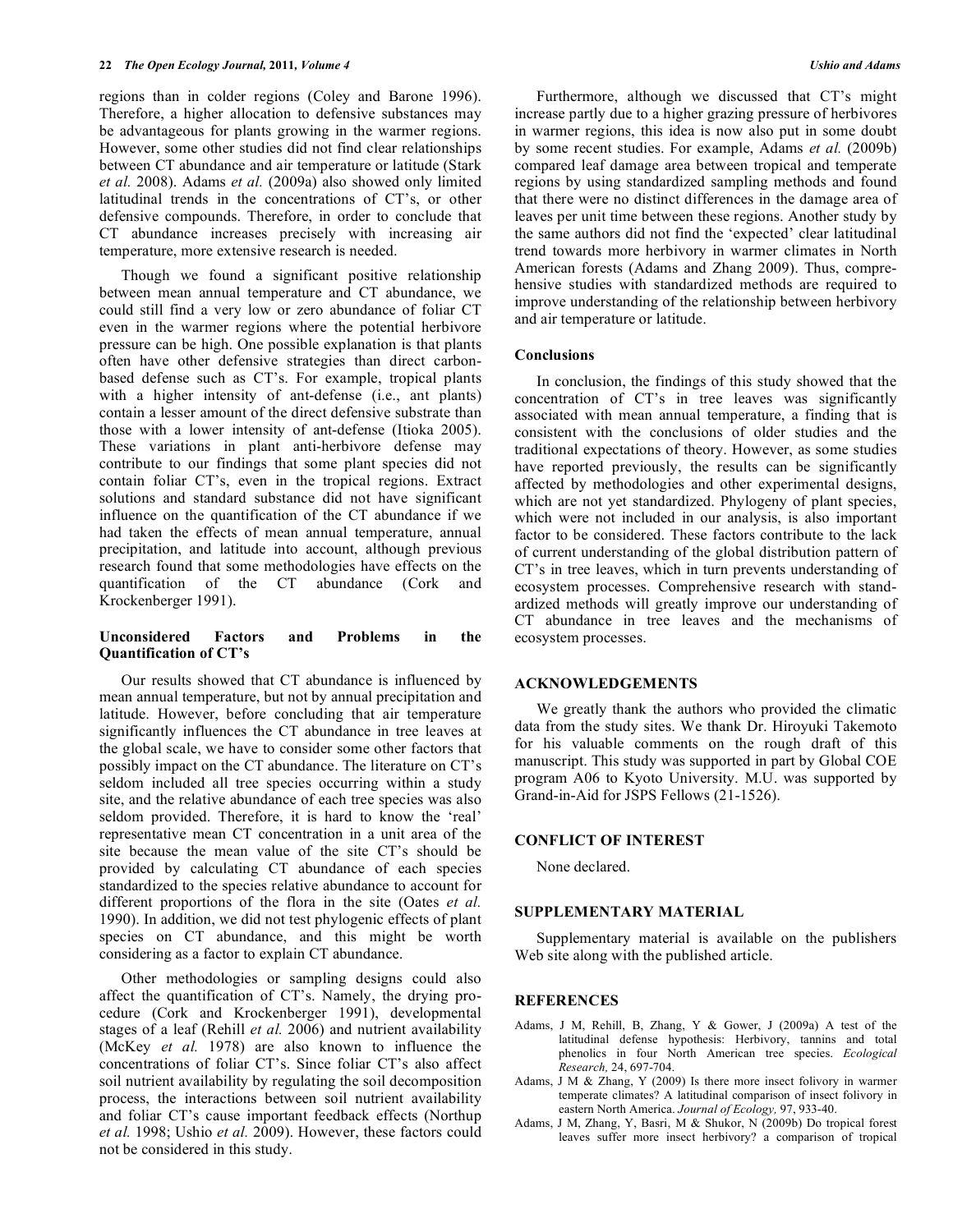regions than in colder regions (Coley and Barone 1996). Therefore, a higher allocation to defensive substances may be advantageous for plants growing in the warmer regions. However, some other studies did not find clear relationships between CT abundance and air temperature or latitude (Stark *et al.* 2008). Adams *et al.* (2009a) also showed only limited latitudinal trends in the concentrations of CT's, or other defensive compounds. Therefore, in order to conclude that CT abundance increases precisely with increasing air temperature, more extensive research is needed.

Though we found a significant positive relationship between mean annual temperature and CT abundance, we could still find a very low or zero abundance of foliar CT even in the warmer regions where the potential herbivore pressure can be high. One possible explanation is that plants often have other defensive strategies than direct carbonbased defense such as CT's. For example, tropical plants with a higher intensity of ant-defense (i.e., ant plants) contain a lesser amount of the direct defensive substrate than those with a lower intensity of ant-defense (Itioka 2005). These variations in plant anti-herbivore defense may contribute to our findings that some plant species did not contain foliar CT's, even in the tropical regions. Extract solutions and standard substance did not have significant influence on the quantification of the CT abundance if we had taken the effects of mean annual temperature, annual precipitation, and latitude into account, although previous research found that some methodologies have effects on the quantification of the CT abundance (Cork and Krockenberger 1991).

## **Unconsidered Factors and Problems in the Quantification of CT's**

Our results showed that CT abundance is influenced by mean annual temperature, but not by annual precipitation and latitude. However, before concluding that air temperature significantly influences the CT abundance in tree leaves at the global scale, we have to consider some other factors that possibly impact on the CT abundance. The literature on CT's seldom included all tree species occurring within a study site, and the relative abundance of each tree species was also seldom provided. Therefore, it is hard to know the 'real' representative mean CT concentration in a unit area of the site because the mean value of the site CT's should be provided by calculating CT abundance of each species standardized to the species relative abundance to account for different proportions of the flora in the site (Oates *et al.* 1990). In addition, we did not test phylogenic effects of plant species on CT abundance, and this might be worth considering as a factor to explain CT abundance.

Other methodologies or sampling designs could also affect the quantification of CT's. Namely, the drying procedure (Cork and Krockenberger 1991), developmental stages of a leaf (Rehill *et al.* 2006) and nutrient availability (McKey *et al.* 1978) are also known to influence the concentrations of foliar CT's. Since foliar CT's also affect soil nutrient availability by regulating the soil decomposition process, the interactions between soil nutrient availability and foliar CT's cause important feedback effects (Northup *et al.* 1998; Ushio *et al.* 2009). However, these factors could not be considered in this study.

Furthermore, although we discussed that CT's might increase partly due to a higher grazing pressure of herbivores in warmer regions, this idea is now also put in some doubt by some recent studies. For example, Adams *et al.* (2009b) compared leaf damage area between tropical and temperate regions by using standardized sampling methods and found that there were no distinct differences in the damage area of leaves per unit time between these regions. Another study by the same authors did not find the 'expected' clear latitudinal trend towards more herbivory in warmer climates in North American forests (Adams and Zhang 2009). Thus, comprehensive studies with standardized methods are required to improve understanding of the relationship between herbivory and air temperature or latitude.

#### **Conclusions**

In conclusion, the findings of this study showed that the concentration of CT's in tree leaves was significantly associated with mean annual temperature, a finding that is consistent with the conclusions of older studies and the traditional expectations of theory. However, as some studies have reported previously, the results can be significantly affected by methodologies and other experimental designs, which are not yet standardized. Phylogeny of plant species, which were not included in our analysis, is also important factor to be considered. These factors contribute to the lack of current understanding of the global distribution pattern of CT's in tree leaves, which in turn prevents understanding of ecosystem processes. Comprehensive research with standardized methods will greatly improve our understanding of CT abundance in tree leaves and the mechanisms of ecosystem processes.

## **ACKNOWLEDGEMENTS**

We greatly thank the authors who provided the climatic data from the study sites. We thank Dr. Hiroyuki Takemoto for his valuable comments on the rough draft of this manuscript. This study was supported in part by Global COE program A06 to Kyoto University. M.U. was supported by Grand-in-Aid for JSPS Fellows (21-1526).

## **CONFLICT OF INTEREST**

None declared.

#### **SUPPLEMENTARY MATERIAL**

Supplementary material is available on the publishers Web site along with the published article.

## **REFERENCES**

- Adams, J M, Rehill, B, Zhang, Y & Gower, J (2009a) A test of the latitudinal defense hypothesis: Herbivory, tannins and total phenolics in four North American tree species. *Ecological Research,* 24, 697-704.
- Adams, J M & Zhang, Y (2009) Is there more insect folivory in warmer temperate climates? A latitudinal comparison of insect folivory in eastern North America. *Journal of Ecology,* 97, 933-40.
- Adams, J M, Zhang, Y, Basri, M & Shukor, N (2009b) Do tropical forest leaves suffer more insect herbivory? a comparison of tropical